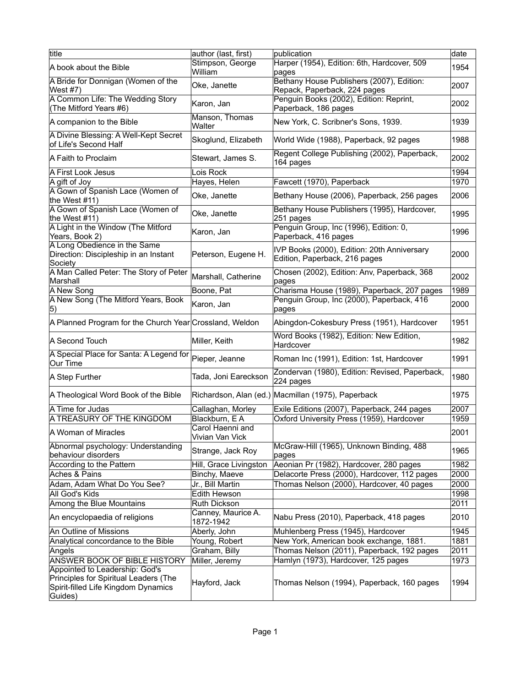| title                                                                                                                     | author (last, first)                | publication                                                                  | date |
|---------------------------------------------------------------------------------------------------------------------------|-------------------------------------|------------------------------------------------------------------------------|------|
| A book about the Bible                                                                                                    | Stimpson, George<br>William         | Harper (1954), Edition: 6th, Hardcover, 509<br>pages                         | 1954 |
| A Bride for Donnigan (Women of the<br>West #7)                                                                            | Oke, Janette                        | Bethany House Publishers (2007), Edition:<br>Repack, Paperback, 224 pages    | 2007 |
| A Common Life: The Wedding Story<br>(The Mitford Years #6)                                                                | Karon, Jan                          | Penguin Books (2002), Edition: Reprint,<br>Paperback, 186 pages              | 2002 |
| A companion to the Bible                                                                                                  | Manson, Thomas<br>Walter            | New York, C. Scribner's Sons, 1939.                                          | 1939 |
| A Divine Blessing: A Well-Kept Secret<br>of Life's Second Half                                                            | Skoglund, Elizabeth                 | World Wide (1988), Paperback, 92 pages                                       | 1988 |
| A Faith to Proclaim                                                                                                       | Stewart, James S.                   | Regent College Publishing (2002), Paperback,<br>164 pages                    | 2002 |
| A First Look Jesus                                                                                                        | Lois Rock                           |                                                                              | 1994 |
| A gift of Joy                                                                                                             | Hayes, Helen                        | Fawcett (1970), Paperback                                                    | 1970 |
| A Gown of Spanish Lace (Women of<br>the West #11)                                                                         | Oke, Janette                        | Bethany House (2006), Paperback, 256 pages                                   | 2006 |
| A Gown of Spanish Lace (Women of<br>the West #11)                                                                         | Oke, Janette                        | Bethany House Publishers (1995), Hardcover,<br>251 pages                     | 1995 |
| A Light in the Window (The Mitford<br>Years, Book 2)                                                                      | Karon, Jan                          | Penguin Group, Inc (1996), Edition: 0,<br>Paperback, 416 pages               | 1996 |
| A Long Obedience in the Same<br>Direction: Discipleship in an Instant<br>Society                                          | Peterson, Eugene H.                 | IVP Books (2000), Edition: 20th Anniversary<br>Edition, Paperback, 216 pages | 2000 |
| A Man Called Peter: The Story of Peter<br>Marshall                                                                        | Marshall, Catherine                 | Chosen (2002), Edition: Anv, Paperback, 368<br>pages                         | 2002 |
| A New Song                                                                                                                | Boone, Pat                          | Charisma House (1989), Paperback, 207 pages                                  | 1989 |
| A New Song (The Mitford Years, Book<br> 5)                                                                                | Karon, Jan                          | Penguin Group, Inc (2000), Paperback, 416<br>pages                           | 2000 |
| A Planned Program for the Church Year Crossland, Weldon                                                                   |                                     | Abingdon-Cokesbury Press (1951), Hardcover                                   | 1951 |
| A Second Touch                                                                                                            | Miller, Keith                       | Word Books (1982), Edition: New Edition,<br>Hardcover                        | 1982 |
| A Special Place for Santa: A Legend for Pieper, Jeanne<br>Our Time                                                        |                                     | Roman Inc (1991), Edition: 1st, Hardcover                                    | 1991 |
| A Step Further                                                                                                            | Tada, Joni Eareckson                | Zondervan (1980), Edition: Revised, Paperback,<br>$224$ pages                | 1980 |
| A Theological Word Book of the Bible                                                                                      |                                     | Richardson, Alan (ed.) Macmillan (1975), Paperback                           | 1975 |
| A Time for Judas                                                                                                          | Callaghan, Morley                   | Exile Editions (2007), Paperback, 244 pages                                  | 2007 |
| A TREASURY OF THE KINGDOM                                                                                                 | Blackburn, E A                      | Oxford University Press (1959), Hardcover                                    | 1959 |
| A Woman of Miracles                                                                                                       | Carol Haenni and<br>Vivian Van Vick |                                                                              | 2001 |
| Abnormal psychology: Understanding<br>behaviour disorders                                                                 | Strange, Jack Roy                   | McGraw-Hill (1965), Unknown Binding, 488<br>pages                            | 1965 |
| According to the Pattern                                                                                                  | Hill, Grace Livingston              | Aeonian Pr (1982), Hardcover, 280 pages                                      | 1982 |
| Aches & Pains                                                                                                             | Binchy, Maeve                       | Delacorte Press (2000), Hardcover, 112 pages                                 | 2000 |
| Adam, Adam What Do You See?                                                                                               | Jr., Bill Martin                    | Thomas Nelson (2000), Hardcover, 40 pages                                    | 2000 |
| All God's Kids                                                                                                            | Edith Hewson                        |                                                                              | 1998 |
| Among the Blue Mountains                                                                                                  | Ruth Dickson                        |                                                                              | 2011 |
| An encyclopaedia of religions                                                                                             | Canney, Maurice A.<br>1872-1942     | Nabu Press (2010), Paperback, 418 pages                                      | 2010 |
| An Outline of Missions                                                                                                    | Aberly, John                        | Muhlenberg Press (1945), Hardcover                                           | 1945 |
| Analytical concordance to the Bible                                                                                       | Young, Robert                       | New York, American book exchange, 1881.                                      | 1881 |
| Angels                                                                                                                    | Graham, Billy                       | Thomas Nelson (2011), Paperback, 192 pages                                   | 2011 |
| ANSWER BOOK OF BIBLE HISTORY                                                                                              | Miller, Jeremy                      | Hamlyn (1973), Hardcover, 125 pages                                          | 1973 |
| Appointed to Leadership: God's<br>Principles for Spiritual Leaders (The<br>Spirit-filled Life Kingdom Dynamics<br>Guides) | Hayford, Jack                       | Thomas Nelson (1994), Paperback, 160 pages                                   | 1994 |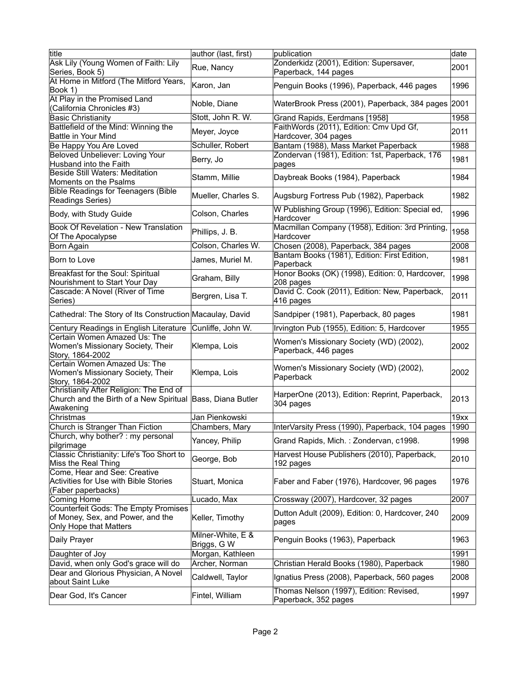| title                                                                                                              | author (last, first)             | publication                                                                         | date |
|--------------------------------------------------------------------------------------------------------------------|----------------------------------|-------------------------------------------------------------------------------------|------|
| Ask Lily (Young Women of Faith: Lily                                                                               |                                  | Zonderkidz (2001), Edition: Supersaver,                                             |      |
| Series, Book 5)                                                                                                    | Rue, Nancy                       | Paperback, 144 pages                                                                | 2001 |
| At Home in Mitford (The Mitford Years,                                                                             |                                  |                                                                                     |      |
| Book 1)                                                                                                            | Karon, Jan                       | Penguin Books (1996), Paperback, 446 pages                                          | 1996 |
| At Play in the Promised Land<br>(California Chronicles #3)                                                         | Noble, Diane                     | WaterBrook Press (2001), Paperback, 384 pages 2001                                  |      |
| <b>Basic Christianity</b>                                                                                          | Stott, John R. W.                | Grand Rapids, Eerdmans [1958]                                                       | 1958 |
| Battlefield of the Mind: Winning the                                                                               |                                  | FaithWords (2011), Edition: Cmv Upd Gf,                                             |      |
| <b>Battle in Your Mind</b>                                                                                         | Meyer, Joyce                     | Hardcover, 304 pages                                                                | 2011 |
| Be Happy You Are Loved                                                                                             | Schuller, Robert                 | Bantam (1988), Mass Market Paperback                                                | 1988 |
| Beloved Unbeliever: Loving Your                                                                                    |                                  | Zondervan (1981), Edition: 1st, Paperback, 176                                      |      |
| Husband into the Faith                                                                                             | Berry, Jo                        | pages                                                                               | 1981 |
| Beside Still Waters: Meditation                                                                                    |                                  |                                                                                     |      |
| Moments on the Psalms                                                                                              | Stamm, Millie                    | Daybreak Books (1984), Paperback                                                    | 1984 |
| <b>Bible Readings for Teenagers (Bible</b><br>Readings Series)                                                     | Mueller, Charles S.              | Augsburg Fortress Pub (1982), Paperback                                             | 1982 |
| Body, with Study Guide                                                                                             | Colson, Charles                  | W Publishing Group (1996), Edition: Special ed,<br>Hardcover                        | 1996 |
| <b>Book Of Revelation - New Translation</b><br>Of The Apocalypse                                                   | Phillips, J. B.                  | Macmillan Company (1958), Edition: 3rd Printing,<br>Hardcover                       | 1958 |
|                                                                                                                    | Colson, Charles W.               |                                                                                     | 2008 |
| Born Again                                                                                                         |                                  | Chosen (2008), Paperback, 384 pages<br>Bantam Books (1981), Edition: First Edition, |      |
| Born to Love                                                                                                       | James, Muriel M.                 | Paperback                                                                           | 1981 |
| Breakfast for the Soul: Spiritual<br>Nourishment to Start Your Day                                                 | Graham, Billy                    | Honor Books (OK) (1998), Edition: 0, Hardcover,<br>208 pages                        | 1998 |
| Cascade: A Novel (River of Time<br>Series)                                                                         | Bergren, Lisa T.                 | David C. Cook (2011), Edition: New, Paperback,<br>416 pages                         | 2011 |
| Cathedral: The Story of Its Construction Macaulay, David                                                           |                                  | Sandpiper (1981), Paperback, 80 pages                                               | 1981 |
| Century Readings in English Literature                                                                             | Cunliffe, John W.                | Irvington Pub (1955), Edition: 5, Hardcover                                         | 1955 |
| Certain Women Amazed Us: The                                                                                       |                                  |                                                                                     |      |
| Women's Missionary Society, Their<br>Story, 1864-2002                                                              | Klempa, Lois                     | Women's Missionary Society (WD) (2002),<br>Paperback, 446 pages                     | 2002 |
| Certain Women Amazed Us: The<br>Women's Missionary Society, Their<br>Story, 1864-2002                              | Klempa, Lois                     | Women's Missionary Society (WD) (2002),<br>Paperback                                | 2002 |
| Christianity After Religion: The End of<br>Church and the Birth of a New Spiritual Bass, Diana Butler<br>Awakening |                                  | HarperOne (2013), Edition: Reprint, Paperback,<br>304 pages                         | 2013 |
| Christmas                                                                                                          | Jan Pienkowski                   |                                                                                     | 19xx |
| Church is Stranger Than Fiction                                                                                    | Chambers, Mary                   | InterVarsity Press (1990), Paperback, 104 pages                                     | 1990 |
| Church, why bother? : my personal                                                                                  |                                  |                                                                                     |      |
| pilgrimage                                                                                                         | Yancey, Philip                   | Grand Rapids, Mich.: Zondervan, c1998.                                              | 1998 |
| Classic Christianity: Life's Too Short to<br>Miss the Real Thing                                                   | George, Bob                      | Harvest House Publishers (2010), Paperback,<br>192 pages                            | 2010 |
| Come, Hear and See: Creative<br>Activities for Use with Bible Stories                                              | Stuart, Monica                   | Faber and Faber (1976), Hardcover, 96 pages                                         | 1976 |
| (Faber paperbacks)                                                                                                 |                                  |                                                                                     |      |
| Coming Home<br>Counterfeit Gods: The Empty Promises                                                                | Lucado, Max                      | Crossway (2007), Hardcover, 32 pages                                                | 2007 |
| of Money, Sex, and Power, and the<br>Only Hope that Matters                                                        | Keller, Timothy                  | Dutton Adult (2009), Edition: 0, Hardcover, 240<br>pages                            | 2009 |
| Daily Prayer                                                                                                       | Milner-White, E &<br>Briggs, G W | Penguin Books (1963), Paperback                                                     | 1963 |
| Daughter of Joy                                                                                                    | Morgan, Kathleen                 |                                                                                     | 1991 |
| David, when only God's grace will do                                                                               | Archer, Norman                   | Christian Herald Books (1980), Paperback                                            | 1980 |
| Dear and Glorious Physician, A Novel<br>about Saint Luke                                                           | Caldwell, Taylor                 | Ignatius Press (2008), Paperback, 560 pages                                         | 2008 |
| Dear God, It's Cancer                                                                                              | Fintel, William                  | Thomas Nelson (1997), Edition: Revised,<br>Paperback, 352 pages                     | 1997 |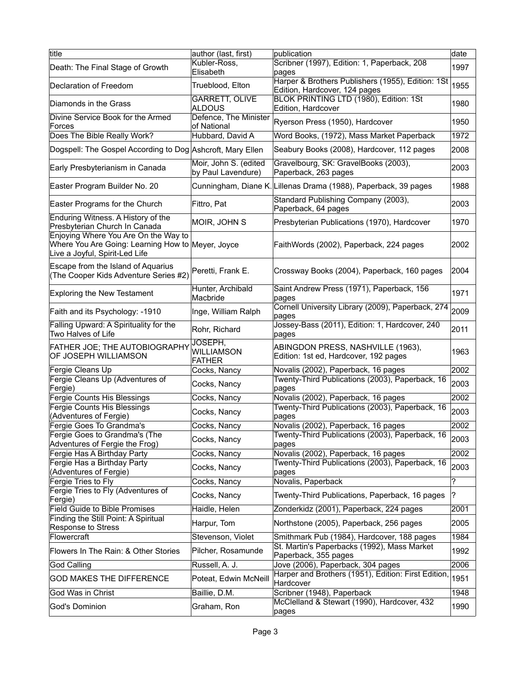| title                                                                                                                       | author (last, first)                        | publication                                                                        | date |
|-----------------------------------------------------------------------------------------------------------------------------|---------------------------------------------|------------------------------------------------------------------------------------|------|
| Death: The Final Stage of Growth                                                                                            | Kubler-Ross,<br>Elisabeth                   | Scribner (1997), Edition: 1, Paperback, 208<br>pages                               | 1997 |
| Declaration of Freedom                                                                                                      | Trueblood, Elton                            | Harper & Brothers Publishers (1955), Edition: 1St<br>Edition, Hardcover, 124 pages | 1955 |
| Diamonds in the Grass                                                                                                       | <b>GARRETT, OLIVE</b><br>ALDOUS             | BLOK PRINTING LTD (1980), Edition: 1St<br>Edition, Hardcover                       | 1980 |
| Divine Service Book for the Armed<br>Forces                                                                                 | Defence, The Minister<br>of National        | Ryerson Press (1950), Hardcover                                                    | 1950 |
| Does The Bible Really Work?                                                                                                 | Hubbard, David A                            | Word Books, (1972), Mass Market Paperback                                          | 1972 |
| Dogspell: The Gospel According to Dog Ashcroft, Mary Ellen                                                                  |                                             | Seabury Books (2008), Hardcover, 112 pages                                         | 2008 |
| Early Presbyterianism in Canada                                                                                             | Moir, John S. (edited<br>by Paul Lavendure) | Gravelbourg, SK: GravelBooks (2003),<br>Paperback, 263 pages                       | 2003 |
| Easter Program Builder No. 20                                                                                               |                                             | Cunningham, Diane K. Lillenas Drama (1988), Paperback, 39 pages                    | 1988 |
| Easter Programs for the Church                                                                                              | Fittro, Pat                                 | Standard Publishing Company (2003),<br>Paperback, 64 pages                         | 2003 |
| Enduring Witness. A History of the<br>Presbyterian Church In Canada                                                         | MOIR, JOHN S                                | Presbyterian Publications (1970), Hardcover                                        | 1970 |
| Enjoying Where You Are On the Way to<br>Where You Are Going: Learning How to Meyer, Joyce<br>Live a Joyful, Spirit-Led Life |                                             | FaithWords (2002), Paperback, 224 pages                                            | 2002 |
| Escape from the Island of Aquarius<br>(The Cooper Kids Adventure Series #2)                                                 | Peretti, Frank E.                           | Crossway Books (2004), Paperback, 160 pages                                        | 2004 |
| <b>Exploring the New Testament</b>                                                                                          | Hunter, Archibald<br>Macbride               | Saint Andrew Press (1971), Paperback, 156<br>pages                                 | 1971 |
| Faith and its Psychology: -1910                                                                                             | Inge, William Ralph                         | Cornell University Library (2009), Paperback, 274<br>pages                         | 2009 |
| Falling Upward: A Spirituality for the<br>Two Halves of Life                                                                | Rohr, Richard                               | Jossey-Bass (2011), Edition: 1, Hardcover, 240<br>pages                            | 2011 |
| FATHER JOE; THE AUTOBIOGRAPHY<br>OF JOSEPH WILLIAMSON                                                                       | JOSEPH,<br>Williamson<br><b>FATHER</b>      | ABINGDON PRESS, NASHVILLE (1963),<br>Edition: 1st ed, Hardcover, 192 pages         | 1963 |
| Fergie Cleans Up                                                                                                            | Cocks, Nancy                                | Novalis (2002), Paperback, 16 pages                                                | 2002 |
| Fergie Cleans Up (Adventures of                                                                                             | Cocks, Nancy                                | Twenty-Third Publications (2003), Paperback, 16                                    | 2003 |
| Fergie)<br>Fergie Counts His Blessings                                                                                      | Cocks, Nancy                                | pages<br>Novalis (2002), Paperback, 16 pages                                       | 2002 |
| Fergie Counts His Blessings<br>(Adventures of Fergie)                                                                       | Cocks, Nancy                                | Twenty-Third Publications (2003), Paperback, 16<br>pages                           | 2003 |
| Fergie Goes To Grandma's                                                                                                    | Cocks, Nancy                                | Novalis (2002), Paperback, 16 pages                                                | 2002 |
| Fergie Goes to Grandma's (The<br>Adventures of Fergie the Frog)                                                             | Cocks, Nancy                                | Twenty-Third Publications (2003), Paperback, 16<br>pages                           | 2003 |
| Fergie Has A Birthday Party                                                                                                 | Cocks, Nancy                                | Novalis (2002), Paperback, 16 pages                                                | 2002 |
| Fergie Has a Birthday Party<br>(Adventures of Fergie)                                                                       | Cocks, Nancy                                | Twenty-Third Publications (2003), Paperback, 16<br>pages                           | 2003 |
| Fergie Tries to Fly                                                                                                         | Cocks, Nancy                                | Novalis, Paperback                                                                 | ?    |
| Fergie Tries to Fly (Adventures of<br>Fergie)                                                                               | Cocks, Nancy                                | Twenty-Third Publications, Paperback, 16 pages                                     | ?    |
| <b>Field Guide to Bible Promises</b>                                                                                        | Haidle, Helen                               | Zonderkidz (2001), Paperback, 224 pages                                            | 2001 |
| Finding the Still Point: A Spiritual<br>Response to Stress                                                                  | Harpur, Tom                                 | Northstone (2005), Paperback, 256 pages                                            | 2005 |
| Flowercraft                                                                                                                 | Stevenson, Violet                           | Smithmark Pub (1984), Hardcover, 188 pages                                         | 1984 |
| Flowers In The Rain: & Other Stories                                                                                        | Pilcher, Rosamunde                          | St. Martin's Paperbacks (1992), Mass Market<br>Paperback, 355 pages                | 1992 |
| God Calling                                                                                                                 | Russell, A. J.                              | Jove (2006), Paperback, 304 pages                                                  | 2006 |
| <b>GOD MAKES THE DIFFERENCE</b>                                                                                             | Poteat, Edwin McNeill                       | Harper and Brothers (1951), Edition: First Edition,<br>Hardcover                   | 1951 |
| God Was in Christ                                                                                                           | Baillie, D.M.                               | Scribner (1948), Paperback                                                         | 1948 |
| God's Dominion                                                                                                              | Graham, Ron                                 | McClelland & Stewart (1990), Hardcover, 432<br>pages                               | 1990 |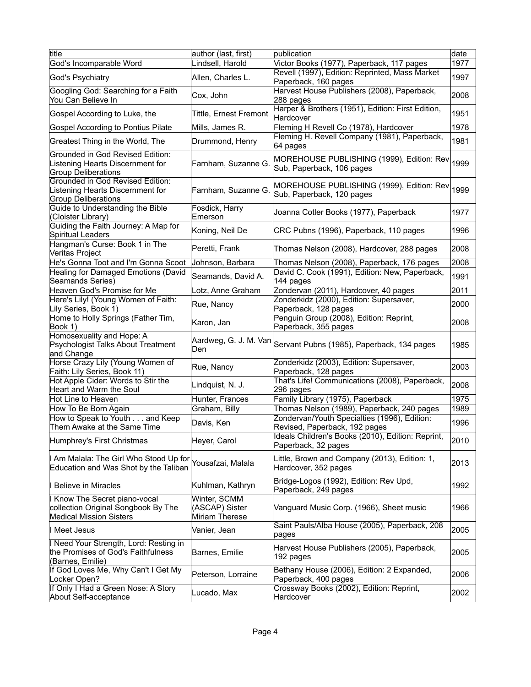| title                                                                                                  | author (last, first)                             | publication                                                              | date |
|--------------------------------------------------------------------------------------------------------|--------------------------------------------------|--------------------------------------------------------------------------|------|
| God's Incomparable Word                                                                                | Lindsell, Harold                                 | Victor Books (1977), Paperback, 117 pages                                | 1977 |
| God's Psychiatry                                                                                       | Allen, Charles L.                                | Revell (1997), Edition: Reprinted, Mass Market<br>Paperback, 160 pages   | 1997 |
| Googling God: Searching for a Faith<br>You Can Believe In                                              | Cox, John                                        | Harvest House Publishers (2008), Paperback,<br>288 pages                 | 2008 |
| Gospel According to Luke, the                                                                          | Tittle, Ernest Fremont                           | Harper & Brothers (1951), Edition: First Edition,<br>Hardcover           | 1951 |
| Gospel According to Pontius Pilate                                                                     | Mills, James R.                                  | Fleming H Revell Co (1978), Hardcover                                    | 1978 |
| Greatest Thing in the World, The                                                                       | Drummond, Henry                                  | Fleming H. Revell Company (1981), Paperback,<br>64 pages                 | 1981 |
| Grounded in God Revised Edition:<br>Listening Hearts Discernment for<br><b>Group Deliberations</b>     | Farnham, Suzanne G.                              | MOREHOUSE PUBLISHING (1999), Edition: Rev<br>Sub, Paperback, 106 pages   | 1999 |
| Grounded in God Revised Edition:<br>Listening Hearts Discernment for<br><b>Group Deliberations</b>     | Farnham, Suzanne G.                              | MOREHOUSE PUBLISHING (1999), Edition: Rev<br>Sub, Paperback, 120 pages   | 1999 |
| Guide to Understanding the Bible<br>(Cloister Library)                                                 | Fosdick, Harry<br>Emerson                        | Joanna Cotler Books (1977), Paperback                                    | 1977 |
| Guiding the Faith Journey: A Map for<br>Spiritual Leaders                                              | Koning, Neil De                                  | CRC Pubns (1996), Paperback, 110 pages                                   | 1996 |
| Hangman's Curse: Book 1 in The<br>Veritas Project                                                      | Peretti, Frank                                   | Thomas Nelson (2008), Hardcover, 288 pages                               | 2008 |
| He's Gonna Toot and I'm Gonna Scoot                                                                    | Johnson, Barbara                                 | Thomas Nelson (2008), Paperback, 176 pages                               | 2008 |
| Healing for Damaged Emotions (David<br>Seamands Series)                                                | Seamands, David A.                               | David C. Cook (1991), Edition: New, Paperback,<br>144 pages              | 1991 |
| Heaven God's Promise for Me                                                                            | Lotz, Anne Graham                                | Zondervan (2011), Hardcover, 40 pages                                    | 2011 |
| Here's Lily! (Young Women of Faith:<br>Lily Series, Book 1)                                            | Rue, Nancy                                       | Zonderkidz (2000), Edition: Supersaver,<br>Paperback, 128 pages          | 2000 |
| Home to Holly Springs (Father Tim,<br>Book 1)                                                          | Karon, Jan                                       | Penguin Group (2008), Edition: Reprint,<br>Paperback, 355 pages          | 2008 |
| Homosexuality and Hope: A<br>Psychologist Talks About Treatment<br>and Change                          | Aardweg, G. J. M. Van<br>Den                     | Servant Pubns (1985), Paperback, 134 pages                               | 1985 |
| Horse Crazy Lily (Young Women of<br>Faith: Lily Series, Book 11)                                       | Rue, Nancy                                       | Zonderkidz (2003), Edition: Supersaver,<br>Paperback, 128 pages          | 2003 |
| Hot Apple Cider: Words to Stir the<br>Heart and Warm the Soul                                          | Lindquist, N. J.                                 | That's Life! Communications (2008), Paperback,<br>296 pages              | 2008 |
| Hot Line to Heaven                                                                                     | Hunter, Frances                                  | Family Library (1975), Paperback                                         | 1975 |
| How To Be Born Again                                                                                   | Graham, Billy                                    | Thomas Nelson (1989), Paperback, 240 pages                               | 1989 |
| How to Speak to Youth and Keep                                                                         | Davis, Ken                                       | Zondervan/Youth Specialties (1996), Edition:                             | 1996 |
| Them Awake at the Same Time                                                                            |                                                  | Revised, Paperback, 192 pages                                            |      |
| Humphrey's First Christmas                                                                             | Heyer, Carol                                     | Ideals Children's Books (2010), Edition: Reprint,<br>Paperback, 32 pages | 2010 |
| I Am Malala: The Girl Who Stood Up for<br>Education and Was Shot by the Taliban                        | Yousafzai, Malala                                | Little, Brown and Company (2013), Edition: 1,<br>Hardcover, 352 pages    | 2013 |
| I Believe in Miracles                                                                                  | Kuhlman, Kathryn                                 | Bridge-Logos (1992), Edition: Rev Upd,<br>Paperback, 249 pages           | 1992 |
| I Know The Secret piano-vocal<br>collection Original Songbook By The<br><b>Medical Mission Sisters</b> | Winter, SCMM<br>(ASCAP) Sister<br>Miriam Therese | Vanguard Music Corp. (1966), Sheet music                                 | 1966 |
| I Meet Jesus                                                                                           | Vanier, Jean                                     | Saint Pauls/Alba House (2005), Paperback, 208<br>pages                   | 2005 |
| I Need Your Strength, Lord: Resting in<br>the Promises of God's Faithfulness<br>(Barnes, Emilie)       | Barnes, Emilie                                   | Harvest House Publishers (2005), Paperback,<br>192 pages                 | 2005 |
| If God Loves Me, Why Can't I Get My<br>Locker Open?                                                    | Peterson, Lorraine                               | Bethany House (2006), Edition: 2 Expanded,<br>Paperback, 400 pages       | 2006 |
| If Only I Had a Green Nose: A Story<br>About Self-acceptance                                           | Lucado, Max                                      | Crossway Books (2002), Edition: Reprint,<br>Hardcover                    | 2002 |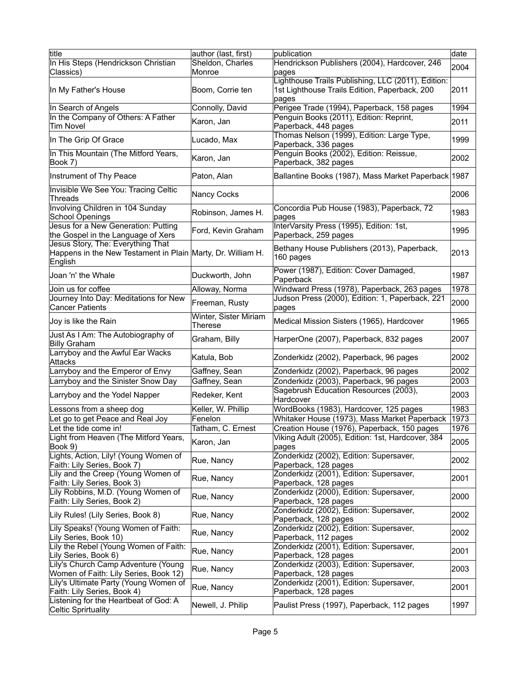| title                                                       | author (last, first)  | publication                                         | date |
|-------------------------------------------------------------|-----------------------|-----------------------------------------------------|------|
| In His Steps (Hendrickson Christian                         | Sheldon, Charles      | Hendrickson Publishers (2004), Hardcover, 246       |      |
| Classics)                                                   | Monroe                | pages                                               | 2004 |
|                                                             |                       | Lighthouse Trails Publishing, LLC (2011), Edition:  |      |
| In My Father's House                                        | Boom, Corrie ten      | 1st Lighthouse Trails Edition, Paperback, 200       | 2011 |
|                                                             |                       |                                                     |      |
|                                                             |                       | pages                                               |      |
| In Search of Angels                                         | Connolly, David       | Perigee Trade (1994), Paperback, 158 pages          | 1994 |
| In the Company of Others: A Father                          | Karon, Jan            | Penguin Books (2011), Edition: Reprint,             | 2011 |
| <b>Tim Novel</b>                                            |                       | Paperback, 448 pages                                |      |
|                                                             |                       | Thomas Nelson (1999), Edition: Large Type,          |      |
| In The Grip Of Grace                                        | Lucado, Max           | Paperback, 336 pages                                | 1999 |
| In This Mountain (The Mitford Years,                        |                       | Penguin Books (2002), Edition: Reissue,             |      |
| Book 7)                                                     | Karon, Jan            | Paperback, 382 pages                                | 2002 |
|                                                             |                       |                                                     |      |
| Instrument of Thy Peace                                     | Paton, Alan           | Ballantine Books (1987), Mass Market Paperback 1987 |      |
|                                                             |                       |                                                     |      |
| Invisible We See You: Tracing Celtic                        | Nancy Cocks           |                                                     | 2006 |
| Threads                                                     |                       |                                                     |      |
| Involving Children in 104 Sunday                            |                       | Concordia Pub House (1983), Paperback, 72           |      |
| <b>School Openings</b>                                      | Robinson, James H.    | pages                                               | 1983 |
| Jesus for a New Generation: Putting                         |                       | InterVarsity Press (1995), Edition: 1st,            |      |
|                                                             | Ford, Kevin Graham    |                                                     | 1995 |
| the Gospel in the Language of Xers                          |                       | Paperback, 259 pages                                |      |
| Jesus Story, The: Everything That                           |                       | Bethany House Publishers (2013), Paperback,         |      |
| Happens in the New Testament in Plain Marty, Dr. William H. |                       | 160 pages                                           | 2013 |
| English                                                     |                       |                                                     |      |
|                                                             |                       | Power (1987), Edition: Cover Damaged,               |      |
| Joan 'n' the Whale                                          | Duckworth, John       | Paperback                                           | 1987 |
| Join us for coffee                                          | Alloway, Norma        | Windward Press (1978), Paperback, 263 pages         | 1978 |
|                                                             |                       | Judson Press (2000), Edition: 1, Paperback, 221     |      |
| Journey Into Day: Meditations for New                       | Freeman, Rusty        |                                                     | 2000 |
| <b>Cancer Patients</b>                                      |                       | pages                                               |      |
| Joy is like the Rain                                        | Winter, Sister Miriam | Medical Mission Sisters (1965), Hardcover           | 1965 |
|                                                             | Therese               |                                                     |      |
| Just As I Am: The Autobiography of                          |                       |                                                     |      |
| <b>Billy Graham</b>                                         | Graham, Billy         | HarperOne (2007), Paperback, 832 pages              | 2007 |
| Larryboy and the Awful Ear Wacks                            |                       |                                                     |      |
| <b>Attacks</b>                                              | Katula, Bob           | Zonderkidz (2002), Paperback, 96 pages              | 2002 |
|                                                             |                       |                                                     |      |
| Larryboy and the Emperor of Envy                            | Gaffney, Sean         | Zonderkidz (2002), Paperback, 96 pages              | 2002 |
| Larryboy and the Sinister Snow Day                          | Gaffney, Sean         | Zonderkidz (2003), Paperback, 96 pages              | 2003 |
|                                                             |                       | Sagebrush Education Resources (2003),               | 2003 |
| Larryboy and the Yodel Napper                               | Redeker, Kent         | Hardcover                                           |      |
| Lessons from a sheep dog                                    | Keller, W. Phillip    | WordBooks (1983), Hardcover, 125 pages              | 1983 |
| Let go to get Peace and Real Joy                            | Fenelon               | Whitaker House (1973), Mass Market Paperback        | 1973 |
|                                                             |                       |                                                     |      |
| Let the tide come in!                                       | Tatham, C. Ernest     | Creation House (1976), Paperback, 150 pages         | 1976 |
| Light from Heaven (The Mitford Years,                       | Karon, Jan            | Viking Adult (2005), Edition: 1st, Hardcover, 384   | 2005 |
| Book 9)                                                     |                       | pages                                               |      |
| Lights, Action, Lily! (Young Women of                       |                       | Zonderkidz (2002), Edition: Supersaver,             |      |
| Faith: Lily Series, Book 7)                                 | Rue, Nancy            | Paperback, 128 pages                                | 2002 |
| Lily and the Creep (Young Women of                          |                       | Zonderkidz (2001), Edition: Supersaver,             |      |
|                                                             | Rue, Nancy            |                                                     | 2001 |
| Faith: Lily Series, Book 3)                                 |                       | Paperback, 128 pages                                |      |
| Lily Robbins, M.D. (Young Women of                          | Rue, Nancy            | Zonderkidz (2000), Edition: Supersaver,             | 2000 |
| Faith: Lily Series, Book 2)                                 |                       | Paperback, 128 pages                                |      |
| Lily Rules! (Lily Series, Book 8)                           | Rue, Nancy            | Zonderkidz (2002), Edition: Supersaver,             | 2002 |
|                                                             |                       | Paperback, 128 pages                                |      |
| Lily Speaks! (Young Women of Faith:                         |                       | Zonderkidz (2002), Edition: Supersaver,             |      |
| Lily Series, Book 10)                                       | Rue, Nancy            | Paperback, 112 pages                                | 2002 |
| Lily the Rebel (Young Women of Faith:                       |                       | Zonderkidz (2001), Edition: Supersaver,             |      |
|                                                             | Rue, Nancy            |                                                     | 2001 |
| Lily Series, Book 6)                                        |                       | Paperback, 128 pages                                |      |
| Lily's Church Camp Adventure (Young                         | Rue, Nancy            | Zonderkidz (2003), Edition: Supersaver,             | 2003 |
| Women of Faith: Lily Series, Book 12)                       |                       | Paperback, 128 pages                                |      |
| Lily's Ultimate Party (Young Women of                       |                       | Zonderkidz (2001), Edition: Supersaver,             |      |
| Faith: Lily Series, Book 4)                                 | Rue, Nancy            | Paperback, 128 pages                                | 2001 |
| Listening for the Heartbeat of God: A                       |                       |                                                     |      |
| Celtic Sprirtuality                                         | Newell, J. Philip     | Paulist Press (1997), Paperback, 112 pages          | 1997 |
|                                                             |                       |                                                     |      |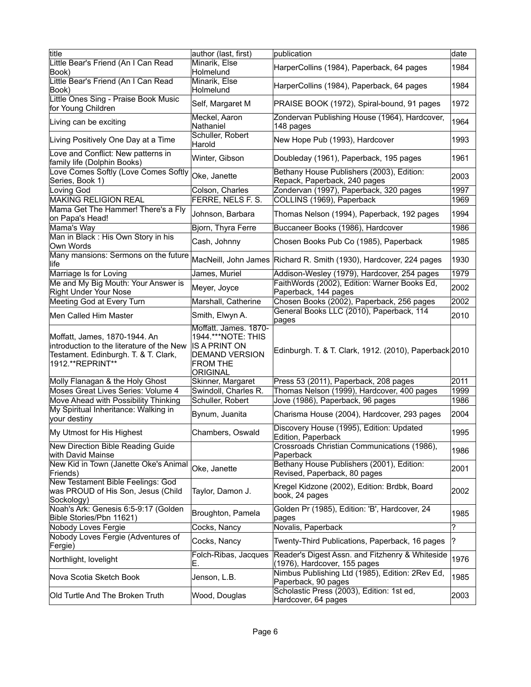| title                                                                                                                                  | author (last, first)                                                                                                                 | publication                                                                     | date         |
|----------------------------------------------------------------------------------------------------------------------------------------|--------------------------------------------------------------------------------------------------------------------------------------|---------------------------------------------------------------------------------|--------------|
| Little Bear's Friend (An I Can Read<br>Book)                                                                                           | Minarik, Else<br>Holmelund                                                                                                           | HarperCollins (1984), Paperback, 64 pages                                       | 1984         |
| Little Bear's Friend (An I Can Read<br>Book)                                                                                           | Minarik, Else<br>Holmelund                                                                                                           | HarperCollins (1984), Paperback, 64 pages                                       | 1984         |
| Little Ones Sing - Praise Book Music<br>for Young Children                                                                             | Self, Margaret M                                                                                                                     | PRAISE BOOK (1972), Spiral-bound, 91 pages                                      | 1972         |
| Living can be exciting                                                                                                                 | Meckel, Aaron<br>Nathaniel                                                                                                           | Zondervan Publishing House (1964), Hardcover,<br>148 pages                      | 1964         |
| Living Positively One Day at a Time                                                                                                    | Schuller, Robert<br>Harold                                                                                                           | New Hope Pub (1993), Hardcover                                                  | 1993         |
| Love and Conflict: New patterns in<br>family life (Dolphin Books)                                                                      | Winter, Gibson                                                                                                                       | Doubleday (1961), Paperback, 195 pages                                          | 1961         |
| Love Comes Softly (Love Comes Softly<br>Series, Book 1)                                                                                | Oke, Janette                                                                                                                         | Bethany House Publishers (2003), Edition:<br>Repack, Paperback, 240 pages       | 2003         |
| Loving God<br><b>MAKING RELIGION REAL</b>                                                                                              | Colson, Charles<br>FERRE, NELS F. S.                                                                                                 | Zondervan (1997), Paperback, 320 pages<br>COLLINS (1969), Paperback             | 1997<br>1969 |
| Mama Get The Hammer! There's a Fly<br>on Papa's Head!                                                                                  | Johnson, Barbara                                                                                                                     | Thomas Nelson (1994), Paperback, 192 pages                                      | 1994         |
| Mama's Way                                                                                                                             | Bjorn, Thyra Ferre                                                                                                                   | Buccaneer Books (1986), Hardcover                                               | 1986         |
| Man in Black : His Own Story in his<br>Own Words                                                                                       | Cash, Johnny                                                                                                                         | Chosen Books Pub Co (1985), Paperback                                           | 1985         |
| Many mansions: Sermons on the future<br>llife                                                                                          |                                                                                                                                      | MacNeill, John James Richard R. Smith (1930), Hardcover, 224 pages              | 1930         |
| Marriage Is for Loving                                                                                                                 | James, Muriel                                                                                                                        | Addison-Wesley (1979), Hardcover, 254 pages                                     | 1979         |
| Me and My Big Mouth: Your Answer is<br><b>Right Under Your Nose</b>                                                                    | Meyer, Joyce                                                                                                                         | FaithWords (2002), Edition: Warner Books Ed,<br>Paperback, 144 pages            | 2002         |
| Meeting God at Every Turn                                                                                                              | Marshall, Catherine                                                                                                                  | Chosen Books (2002), Paperback, 256 pages                                       | 2002         |
| Men Called Him Master                                                                                                                  | Smith, Elwyn A.                                                                                                                      | General Books LLC (2010), Paperback, 114<br>pages                               | 2010         |
| Moffatt, James, 1870-1944. An<br>introduction to the literature of the New<br>Testament. Edinburgh. T. & T. Clark,<br>1912.**REPRINT** | Moffatt. James. 1870-<br>1944. *** NOTE: THIS<br><b>IS A PRINT ON</b><br><b>DEMAND VERSION</b><br><b>FROM THE</b><br><b>ORIGINAL</b> | Edinburgh. T. & T. Clark, 1912. (2010), Paperback 2010                          |              |
| Molly Flanagan & the Holy Ghost                                                                                                        | Skinner, Margaret                                                                                                                    | Press 53 (2011), Paperback, 208 pages                                           | 2011         |
| Moses Great Lives Series: Volume 4                                                                                                     | Swindoll, Charles R.                                                                                                                 | Thomas Nelson (1999), Hardcover, 400 pages                                      | 1999         |
| Move Ahead with Possibility Thinking                                                                                                   | Schuller, Robert                                                                                                                     | Jove (1986), Paperback, 96 pages                                                | 1986         |
| My Spiritual Inheritance: Walking in<br>your destiny                                                                                   | Bynum, Juanita                                                                                                                       | Charisma House (2004), Hardcover, 293 pages                                     | 2004         |
| <b>My Utmost for His Highest</b>                                                                                                       | Chambers, Oswald                                                                                                                     | Discovery House (1995), Edition: Updated<br>Edition, Paperback                  | 1995         |
| New Direction Bible Reading Guide<br>with David Mainse                                                                                 |                                                                                                                                      | Crossroads Christian Communications (1986),<br>Paperback                        | 1986         |
| New Kid in Town (Janette Oke's Animal<br>Friends)                                                                                      | Oke, Janette                                                                                                                         | Bethany House Publishers (2001), Edition:<br>Revised, Paperback, 80 pages       | 2001         |
| New Testament Bible Feelings: God<br>was PROUD of His Son, Jesus (Child<br>Sockology)                                                  | Taylor, Damon J.                                                                                                                     | Kregel Kidzone (2002), Edition: Brdbk, Board<br>book, 24 pages                  | 2002         |
| Noah's Ark: Genesis 6:5-9:17 (Golden<br>Bible Stories/Pbn 11621)                                                                       | Broughton, Pamela                                                                                                                    | Golden Pr (1985), Edition: 'B', Hardcover, 24<br>pages                          | 1985         |
| Nobody Loves Fergie                                                                                                                    | Cocks, Nancy                                                                                                                         | Novalis, Paperback                                                              | ?            |
| Nobody Loves Fergie (Adventures of<br>Fergie)                                                                                          | Cocks, Nancy                                                                                                                         | Twenty-Third Publications, Paperback, 16 pages                                  | ?            |
| Northlight, lovelight                                                                                                                  | Folch-Ribas, Jacques<br>Е.                                                                                                           | Reader's Digest Assn. and Fitzhenry & Whiteside<br>(1976), Hardcover, 155 pages | 1976         |
| Nova Scotia Sketch Book                                                                                                                | Jenson, L.B.                                                                                                                         | Nimbus Publishing Ltd (1985), Edition: 2Rev Ed,<br>Paperback, 90 pages          | 1985         |
| Old Turtle And The Broken Truth                                                                                                        | Wood, Douglas                                                                                                                        | Scholastic Press (2003), Edition: 1st ed,<br>Hardcover, 64 pages                | 2003         |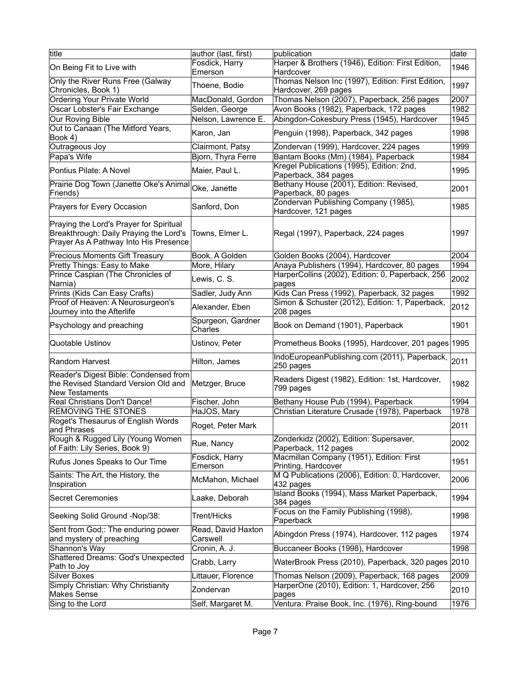| title                                                                                                                      | author (last, first)           | publication                                                               | date |
|----------------------------------------------------------------------------------------------------------------------------|--------------------------------|---------------------------------------------------------------------------|------|
| On Being Fit to Live with                                                                                                  | Fosdick, Harry<br>Emerson      | Harper & Brothers (1946), Edition: First Edition,<br>Hardcover            | 1946 |
| Only the River Runs Free (Galway<br>Chronicles, Book 1)                                                                    | Thoene, Bodie                  | Thomas Nelson Inc (1997), Edition: First Edition,<br>Hardcover, 269 pages | 1997 |
| Ordering Your Private World                                                                                                | MacDonald, Gordon              | Thomas Nelson (2007), Paperback, 256 pages                                | 2007 |
| Oscar Lobster's Fair Exchange                                                                                              | Selden, George                 | Avon Books (1982), Paperback, 172 pages                                   | 1982 |
|                                                                                                                            |                                |                                                                           |      |
| Our Roving Bible                                                                                                           | Nelson, Lawrence E.            | Abingdon-Cokesbury Press (1945), Hardcover                                | 1945 |
| Out to Canaan (The Mitford Years,<br>Book 4)                                                                               | Karon, Jan                     | Penguin (1998), Paperback, 342 pages                                      | 1998 |
| Outrageous Joy                                                                                                             | Clairmont, Patsy               | Zondervan (1999), Hardcover, 224 pages                                    | 1999 |
| Papa's Wife                                                                                                                | Bjorn, Thyra Ferre             | Bantam Books (Mm) (1984), Paperback                                       | 1984 |
| Pontius Pilate: A Novel                                                                                                    | Maier, Paul L.                 | Kregel Publications (1995), Edition: 2nd,<br>Paperback, 384 pages         | 1995 |
| Prairie Dog Town (Janette Oke's Animal Oke, Janette<br>Friends)                                                            |                                | Bethany House (2001), Edition: Revised,<br>Paperback, 80 pages            | 2001 |
| Prayers for Every Occasion                                                                                                 | Sanford, Don                   | Zondervan Publishing Company (1985),<br>Hardcover, 121 pages              | 1985 |
| Praying the Lord's Prayer for Spiritual<br>Breakthrough: Daily Praying the Lord's<br>Prayer As A Pathway Into His Presence | Towns, Elmer L.                | Regal (1997), Paperback, 224 pages                                        | 1997 |
| Precious Moments Gift Treasury                                                                                             | Book, A Golden                 | Golden Books (2004), Hardcover                                            | 2004 |
| Pretty Things: Easy to Make                                                                                                | More, Hilary                   | Anaya Publishers (1994), Hardcover, 80 pages                              | 1994 |
| Prince Caspian (The Chronicles of<br>Narnia)                                                                               | Lewis, C. S.                   | HarperCollins (2002), Edition: 0, Paperback, 256<br>pages                 | 2002 |
| Prints (Kids Can Easy Crafts)                                                                                              | Sadler, Judy Ann               | Kids Can Press (1992), Paperback, 32 pages                                | 1992 |
| Proof of Heaven: A Neurosurgeon's                                                                                          |                                | Simon & Schuster (2012), Edition: 1, Paperback,                           |      |
| Journey into the Afterlife                                                                                                 | Alexander, Eben                | 208 pages                                                                 | 2012 |
| Psychology and preaching                                                                                                   | Spurgeon, Gardner<br>Charles   | Book on Demand (1901), Paperback                                          | 1901 |
| Quotable Ustinov                                                                                                           | Ustinov, Peter                 | Prometheus Books (1995), Hardcover, 201 pages 1995                        |      |
| Random Harvest                                                                                                             | Hilton, James                  | IndoEuropeanPublishing.com (2011), Paperback,<br>250 pages                | 2011 |
| Reader's Digest Bible: Condensed from<br>the Revised Standard Version Old and<br><b>New Testaments</b>                     | Metzger, Bruce                 | Readers Digest (1982), Edition: 1st, Hardcover,<br>799 pages              | 1982 |
| Real Christians Don't Dance!                                                                                               | Fischer, John                  | Bethany House Pub (1994), Paperback                                       | 1994 |
| <b>REMOVING THE STONES</b>                                                                                                 | HaJOS, Mary                    | Christian Literature Crusade (1978), Paperback                            | 1978 |
| Roget's Thesaurus of English Words<br>and Phrases                                                                          | Roget, Peter Mark              |                                                                           | 2011 |
| Rough & Rugged Lily (Young Women<br>of Faith: Lily Series, Book 9)                                                         | Rue, Nancy                     | Zonderkidz (2002), Edition: Supersaver,<br>Paperback, 112 pages           | 2002 |
| Rufus Jones Speaks to Our Time                                                                                             | Fosdick, Harry<br>Emerson      | Macmillan Company (1951), Edition: First<br>Printing, Hardcover           | 1951 |
| Saints: The Art, the History, the<br>Inspiration                                                                           | McMahon, Michael               | M Q Publications (2006), Edition: 0, Hardcover,<br>432 pages              | 2006 |
| Secret Ceremonies                                                                                                          | Laake, Deborah                 | Island Books (1994), Mass Market Paperback,<br>384 pages                  | 1994 |
| Seeking Solid Ground -Nop/38:                                                                                              | Trent/Hicks                    | Focus on the Family Publishing (1998),<br>Paperback                       | 1998 |
| Sent from God;: The enduring power<br>and mystery of preaching                                                             | Read, David Haxton<br>Carswell | Abingdon Press (1974), Hardcover, 112 pages                               | 1974 |
| Shannon's Way                                                                                                              | Cronin, A. J.                  | Buccaneer Books (1998), Hardcover                                         | 1998 |
| Shattered Dreams: God's Unexpected<br>Path to Joy                                                                          | Crabb, Larry                   | WaterBrook Press (2010), Paperback, 320 pages 2010                        |      |
| Silver Boxes                                                                                                               | Littauer, Florence             | Thomas Nelson (2009), Paperback, 168 pages                                | 2009 |
| Simply Christian: Why Christianity<br>Makes Sense                                                                          | Zondervan                      | HarperOne (2010), Edition: 1, Hardcover, 256<br>pages                     | 2010 |
| Sing to the Lord                                                                                                           | Self, Margaret M.              | Ventura: Praise Book, Inc. (1976), Ring-bound                             | 1976 |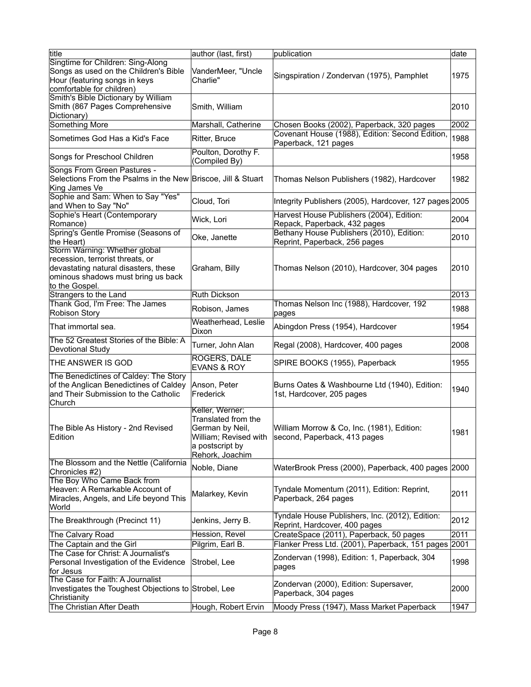| title                                                                                                                                                             | author (last, first)                                                                                                     | publication                                                                      | date |
|-------------------------------------------------------------------------------------------------------------------------------------------------------------------|--------------------------------------------------------------------------------------------------------------------------|----------------------------------------------------------------------------------|------|
| Singtime for Children: Sing-Along                                                                                                                                 |                                                                                                                          |                                                                                  |      |
| Songs as used on the Children's Bible<br>Hour (featuring songs in keys                                                                                            | VanderMeer, "Uncle<br>Charlie"                                                                                           | Singspiration / Zondervan (1975), Pamphlet                                       | 1975 |
| comfortable for children)                                                                                                                                         |                                                                                                                          |                                                                                  |      |
| Smith's Bible Dictionary by William<br>Smith (867 Pages Comprehensive<br>Dictionary)                                                                              | Smith, William                                                                                                           |                                                                                  | 2010 |
| Something More                                                                                                                                                    | Marshall, Catherine                                                                                                      | Chosen Books (2002), Paperback, 320 pages                                        | 2002 |
| Sometimes God Has a Kid's Face                                                                                                                                    | Ritter, Bruce                                                                                                            | Covenant House (1988), Edition: Second Edition,<br>Paperback, 121 pages          | 1988 |
| Songs for Preschool Children                                                                                                                                      | Poulton, Dorothy F.<br>(Compiled By)                                                                                     |                                                                                  | 1958 |
| Songs From Green Pastures -<br>Selections From the Psalms in the New Briscoe, Jill & Stuart<br>King James Ve                                                      |                                                                                                                          | Thomas Nelson Publishers (1982), Hardcover                                       | 1982 |
| Sophie and Sam: When to Say "Yes"<br>and When to Say "No"                                                                                                         | Cloud, Tori                                                                                                              | Integrity Publishers (2005), Hardcover, 127 pages 2005                           |      |
| Sophie's Heart (Contemporary<br>Romance)                                                                                                                          | Wick, Lori                                                                                                               | Harvest House Publishers (2004), Edition:<br>Repack, Paperback, 432 pages        | 2004 |
| Spring's Gentle Promise (Seasons of<br>the Heart)                                                                                                                 | Oke, Janette                                                                                                             | Bethany House Publishers (2010), Edition:<br>Reprint, Paperback, 256 pages       | 2010 |
| Storm Warning: Whether global<br>recession, terrorist threats, or<br>devastating natural disasters, these<br>ominous shadows must bring us back<br>to the Gospel. | Graham, Billy                                                                                                            | Thomas Nelson (2010), Hardcover, 304 pages                                       | 2010 |
| Strangers to the Land                                                                                                                                             | Ruth Dickson                                                                                                             |                                                                                  | 2013 |
| Thank God, I'm Free: The James                                                                                                                                    |                                                                                                                          | Thomas Nelson Inc (1988), Hardcover, 192                                         |      |
| <b>Robison Story</b>                                                                                                                                              | Robison, James<br>Weatherhead, Leslie                                                                                    | pages                                                                            | 1988 |
| That immortal sea.                                                                                                                                                | Dixon                                                                                                                    | Abingdon Press (1954), Hardcover                                                 | 1954 |
| The 52 Greatest Stories of the Bible: A<br>Devotional Study                                                                                                       | Turner, John Alan                                                                                                        | Regal (2008), Hardcover, 400 pages                                               | 2008 |
| THE ANSWER IS GOD                                                                                                                                                 | ROGERS, DALE<br><b>EVANS &amp; ROY</b>                                                                                   | SPIRE BOOKS (1955), Paperback                                                    | 1955 |
| The Benedictines of Caldey: The Story<br>of the Anglican Benedictines of Caldey<br>and Their Submission to the Catholic<br>Church                                 | Anson, Peter<br>Frederick                                                                                                | Burns Oates & Washbourne Ltd (1940), Edition:<br>1st, Hardcover, 205 pages       | 1940 |
| The Bible As History - 2nd Revised<br>Edition                                                                                                                     | Keller, Werner;<br>Translated from the<br>German by Neil,<br>William; Revised with<br>a postscript by<br>Rehork, Joachim | William Morrow & Co, Inc. (1981), Edition:<br>second, Paperback, 413 pages       | 1981 |
| The Blossom and the Nettle (California<br>Chronicles #2)                                                                                                          | Noble, Diane                                                                                                             | WaterBrook Press (2000), Paperback, 400 pages 2000                               |      |
| The Boy Who Came Back from<br>Heaven: A Remarkable Account of<br>Miracles, Angels, and Life beyond This<br>World                                                  | Malarkey, Kevin                                                                                                          | Tyndale Momentum (2011), Edition: Reprint,<br>Paperback, 264 pages               | 2011 |
| The Breakthrough (Precinct 11)                                                                                                                                    | Jenkins, Jerry B.                                                                                                        | Tyndale House Publishers, Inc. (2012), Edition:<br>Reprint, Hardcover, 400 pages | 2012 |
| The Calvary Road                                                                                                                                                  | Hession, Revel                                                                                                           | CreateSpace (2011), Paperback, 50 pages                                          | 2011 |
| The Captain and the Girl                                                                                                                                          | Pilgrim, Earl B.                                                                                                         | Flanker Press Ltd. (2001), Paperback, 151 pages 2001                             |      |
| The Case for Christ: A Journalist's                                                                                                                               |                                                                                                                          |                                                                                  |      |
| Personal Investigation of the Evidence<br>for Jesus                                                                                                               | Strobel, Lee                                                                                                             | Zondervan (1998), Edition: 1, Paperback, 304<br>pages                            | 1998 |
| The Case for Faith: A Journalist<br>Investigates the Toughest Objections to Strobel, Lee<br>Christianity                                                          |                                                                                                                          | Zondervan (2000), Edition: Supersaver,<br>Paperback, 304 pages                   | 2000 |
| The Christian After Death                                                                                                                                         | Hough, Robert Ervin                                                                                                      | Moody Press (1947), Mass Market Paperback                                        | 1947 |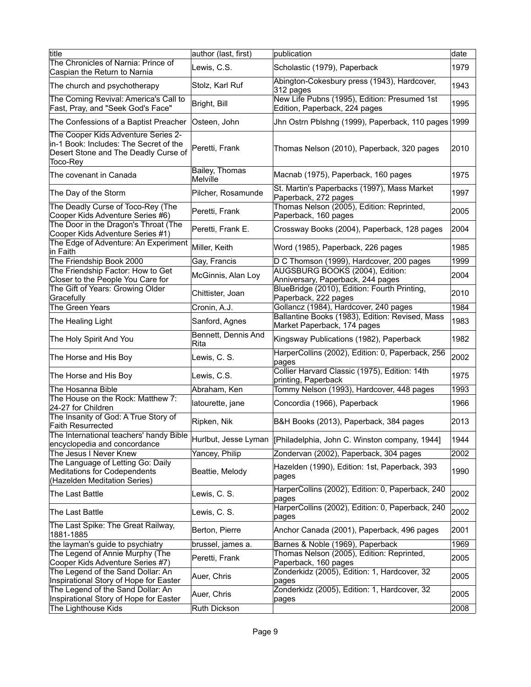| title                                                                                                                             | author (last, first)        | publication                                                                    | ldate |
|-----------------------------------------------------------------------------------------------------------------------------------|-----------------------------|--------------------------------------------------------------------------------|-------|
| The Chronicles of Narnia: Prince of<br>Caspian the Return to Narnia                                                               | Lewis, C.S.                 | Scholastic (1979), Paperback                                                   | 1979  |
| The church and psychotherapy                                                                                                      | Stolz, Karl Ruf             | Abington-Cokesbury press (1943), Hardcover,<br>$312$ pages                     | 1943  |
| The Coming Revival: America's Call to<br>Fast, Pray, and "Seek God's Face"                                                        | Bright, Bill                | New Life Pubns (1995), Edition: Presumed 1st<br>Edition, Paperback, 224 pages  | 1995  |
| The Confessions of a Baptist Preacher                                                                                             | Osteen, John                | Jhn Ostrn Pblshng (1999), Paperback, 110 pages 1999                            |       |
| The Cooper Kids Adventure Series 2-<br>in-1 Book: Includes: The Secret of the<br>Desert Stone and The Deadly Curse of<br>Toco-Rey | Peretti, Frank              | Thomas Nelson (2010), Paperback, 320 pages                                     | 2010  |
| The covenant in Canada                                                                                                            | Bailey, Thomas<br>Melville  | Macnab (1975), Paperback, 160 pages                                            | 1975  |
| The Day of the Storm                                                                                                              | Pilcher, Rosamunde          | St. Martin's Paperbacks (1997), Mass Market<br>Paperback, 272 pages            | 1997  |
| The Deadly Curse of Toco-Rey (The<br>Cooper Kids Adventure Series #6)                                                             | Peretti, Frank              | Thomas Nelson (2005), Edition: Reprinted,<br>Paperback, 160 pages              | 2005  |
| The Door in the Dragon's Throat (The<br>Cooper Kids Adventure Series #1)                                                          | Peretti, Frank E.           | Crossway Books (2004), Paperback, 128 pages                                    | 2004  |
| The Edge of Adventure: An Experiment<br>in Faith                                                                                  | Miller, Keith               | Word (1985), Paperback, 226 pages                                              | 1985  |
| The Friendship Book 2000                                                                                                          | Gay, Francis                | D C Thomson (1999), Hardcover, 200 pages                                       | 1999  |
| The Friendship Factor: How to Get                                                                                                 | McGinnis, Alan Loy          | AUGSBURG BOOKS (2004), Edition:                                                | 2004  |
| Closer to the People You Care for                                                                                                 |                             | Anniversary, Paperback, 244 pages                                              |       |
| The Gift of Years: Growing Older<br>Gracefully                                                                                    | Chittister, Joan            | BlueBridge (2010), Edition: Fourth Printing,<br>Paperback, 222 pages           | 2010  |
| The Green Years                                                                                                                   | Cronin, A.J.                | Gollancz (1984), Hardcover, 240 pages                                          | 1984  |
| The Healing Light                                                                                                                 | Sanford, Agnes              | Ballantine Books (1983), Edition: Revised, Mass<br>Market Paperback, 174 pages | 1983  |
| The Holy Spirit And You                                                                                                           | Bennett, Dennis And<br>Rita | Kingsway Publications (1982), Paperback                                        | 1982  |
| The Horse and His Boy                                                                                                             | Lewis, C. S.                | HarperCollins (2002), Edition: 0, Paperback, 256<br>pages                      | 2002  |
| The Horse and His Boy                                                                                                             | Lewis, C.S.                 | Collier Harvard Classic (1975), Edition: 14th<br>printing, Paperback           | 1975  |
| The Hosanna Bible                                                                                                                 | Abraham, Ken                | Tommy Nelson (1993), Hardcover, 448 pages                                      | 1993  |
| The House on the Rock: Matthew 7:<br>24-27 for Children                                                                           | latourette, jane            | Concordia (1966), Paperback                                                    | 1966  |
| The Insanity of God: A True Story of<br><b>Faith Resurrected</b>                                                                  | Ripken, Nik                 | B&H Books (2013), Paperback, 384 pages                                         | 2013  |
| The International teachers' handy Bible<br>encyclopedia and concordance                                                           |                             | Hurlbut, Jesse Lyman   [Philadelphia, John C. Winston company, 1944]           | 1944  |
| The Jesus I Never Knew                                                                                                            | Yancey, Philip              | Zondervan (2002), Paperback, 304 pages                                         | 2002  |
| The Language of Letting Go: Daily<br><b>Meditations for Codependents</b><br>(Hazelden Meditation Series)                          | Beattie, Melody             | Hazelden (1990), Edition: 1st, Paperback, 393<br>pages                         | 1990  |
| The Last Battle                                                                                                                   | Lewis, C. S.                | HarperCollins (2002), Edition: 0, Paperback, 240<br>pages                      | 2002  |
| The Last Battle                                                                                                                   | Lewis, C. S.                | HarperCollins (2002), Edition: 0, Paperback, 240<br>pages                      | 2002  |
| The Last Spike: The Great Railway,<br>1881-1885                                                                                   | Berton, Pierre              | Anchor Canada (2001), Paperback, 496 pages                                     | 2001  |
| the layman's guide to psychiatry                                                                                                  | brussel, james a.           | Barnes & Noble (1969), Paperback                                               | 1969  |
| The Legend of Annie Murphy (The<br>Cooper Kids Adventure Series #7)                                                               | Peretti, Frank              | Thomas Nelson (2005), Edition: Reprinted,<br>Paperback, 160 pages              | 2005  |
| The Legend of the Sand Dollar: An<br>Inspirational Story of Hope for Easter                                                       | Auer, Chris                 | Zonderkidz (2005), Edition: 1, Hardcover, 32<br>pages                          | 2005  |
| The Legend of the Sand Dollar: An<br>Inspirational Story of Hope for Easter                                                       | Auer, Chris                 | Zonderkidz (2005), Edition: 1, Hardcover, 32<br>pages                          | 2005  |
| The Lighthouse Kids                                                                                                               | Ruth Dickson                |                                                                                | 2008  |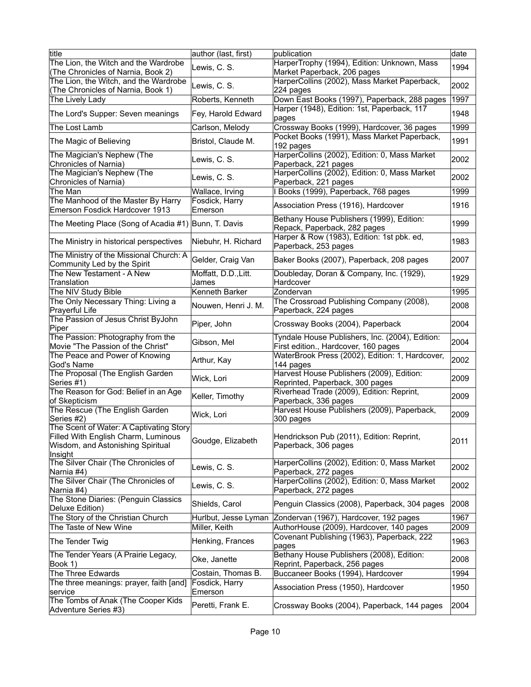| title                                                                                                                          | author (last, first)         | publication                                                                               | date |
|--------------------------------------------------------------------------------------------------------------------------------|------------------------------|-------------------------------------------------------------------------------------------|------|
| The Lion, the Witch and the Wardrobe                                                                                           |                              | HarperTrophy (1994), Edition: Unknown, Mass                                               |      |
| (The Chronicles of Narnia, Book 2)                                                                                             | Lewis, C. S.                 | Market Paperback, 206 pages                                                               | 1994 |
| The Lion, the Witch, and the Wardrobe                                                                                          |                              | HarperCollins (2002), Mass Market Paperback,                                              |      |
|                                                                                                                                | Lewis, C. S.                 | $224$ pages                                                                               | 2002 |
| (The Chronicles of Narnia, Book 1)                                                                                             |                              |                                                                                           |      |
| The Lively Lady                                                                                                                | Roberts, Kenneth             | Down East Books (1997), Paperback, 288 pages                                              | 1997 |
| The Lord's Supper: Seven meanings                                                                                              | Fey, Harold Edward           | Harper (1948), Edition: 1st, Paperback, 117<br>pages                                      | 1948 |
| The Lost Lamb                                                                                                                  | Carlson, Melody              | Crossway Books (1999), Hardcover, 36 pages<br>Pocket Books (1991), Mass Market Paperback, | 1999 |
| The Magic of Believing                                                                                                         | Bristol, Claude M.           | 192 pages                                                                                 | 1991 |
| The Magician's Nephew (The<br>Chronicles of Narnia)                                                                            | Lewis, C. S.                 | HarperCollins (2002), Edition: 0, Mass Market<br>Paperback, 221 pages                     | 2002 |
| The Magician's Nephew (The                                                                                                     |                              | HarperCollins (2002), Edition: 0, Mass Market                                             |      |
| Chronicles of Narnia)                                                                                                          | Lewis, C. S.                 | Paperback, 221 pages                                                                      | 2002 |
| The Man                                                                                                                        | Wallace, Irving              | I Books (1999), Paperback, 768 pages                                                      | 1999 |
| The Manhood of the Master By Harry                                                                                             | Fosdick, Harry               |                                                                                           |      |
| Emerson Fosdick Hardcover 1913                                                                                                 | Emerson                      | Association Press (1916), Hardcover                                                       | 1916 |
| The Meeting Place (Song of Acadia #1) Bunn, T. Davis                                                                           |                              | Bethany House Publishers (1999), Edition:<br>Repack, Paperback, 282 pages                 | 1999 |
| The Ministry in historical perspectives                                                                                        | Niebuhr, H. Richard          | Harper & Row (1983), Edition: 1st pbk. ed,<br>Paperback, 253 pages                        | 1983 |
| The Ministry of the Missional Church: A<br>Community Led by the Spirit                                                         | Gelder, Craig Van            | Baker Books (2007), Paperback, 208 pages                                                  | 2007 |
| The New Testament - A New                                                                                                      | Moffatt, D.D., Litt.         | Doubleday, Doran & Company, Inc. (1929),<br>Hardcover                                     | 1929 |
| Translation<br>The NIV Study Bible                                                                                             | James<br>Kenneth Barker      |                                                                                           | 1995 |
|                                                                                                                                |                              | Zondervan                                                                                 |      |
| The Only Necessary Thing: Living a<br>Prayerful Life                                                                           | Nouwen, Henri J. M.          | The Crossroad Publishing Company (2008),<br>Paperback, 224 pages                          | 2008 |
| The Passion of Jesus Christ ByJohn<br>Piper                                                                                    | Piper, John                  | Crossway Books (2004), Paperback                                                          | 2004 |
| The Passion: Photography from the<br>Movie "The Passion of the Christ"                                                         | Gibson, Mel                  | Tyndale House Publishers, Inc. (2004), Edition:<br>First edition., Hardcover, 160 pages   | 2004 |
| The Peace and Power of Knowing<br>God's Name                                                                                   | Arthur, Kay                  | WaterBrook Press (2002), Edition: 1, Hardcover,<br>144 pages                              | 2002 |
| The Proposal (The English Garden<br>Series #1)                                                                                 | Wick, Lori                   | Harvest House Publishers (2009), Edition:<br>Reprinted, Paperback, 300 pages              | 2009 |
| The Reason for God: Belief in an Age<br>of Skepticism                                                                          | Keller, Timothy              | Riverhead Trade (2009), Edition: Reprint,<br>Paperback, 336 pages                         | 2009 |
| The Rescue (The English Garden)                                                                                                | Wick, Lori                   | Harvest House Publishers (2009), Paperback,                                               | 2009 |
| Series #2)                                                                                                                     |                              | 300 pages                                                                                 |      |
| The Scent of Water: A Captivating Story<br>Filled With English Charm, Luminous<br>Wisdom, and Astonishing Spiritual<br>Insight | Goudge, Elizabeth            | Hendrickson Pub (2011), Edition: Reprint,<br>Paperback, 306 pages                         | 2011 |
| The Silver Chair (The Chronicles of<br>Narnia #4)                                                                              | Lewis, C. S.                 | HarperCollins (2002), Edition: 0, Mass Market<br>Paperback, 272 pages                     | 2002 |
| The Silver Chair (The Chronicles of<br>Narnia #4)                                                                              | Lewis, C. S.                 | HarperCollins (2002), Edition: 0, Mass Market<br>Paperback, 272 pages                     | 2002 |
| The Stone Diaries: (Penguin Classics<br>Deluxe Edition)                                                                        | Shields, Carol               | Penguin Classics (2008), Paperback, 304 pages                                             | 2008 |
| The Story of the Christian Church                                                                                              | Hurlbut, Jesse Lyman         | Zondervan (1967), Hardcover, 192 pages                                                    | 1967 |
| The Taste of New Wine                                                                                                          | Miller, Keith                | AuthorHouse (2009), Hardcover, 140 pages                                                  | 2009 |
| The Tender Twig                                                                                                                | Henking, Frances             | Covenant Publishing (1963), Paperback, 222<br>pages                                       | 1963 |
| The Tender Years (A Prairie Legacy,                                                                                            |                              | Bethany House Publishers (2008), Edition:                                                 |      |
| Book 1)                                                                                                                        | Oke, Janette                 | Reprint, Paperback, 256 pages                                                             | 2008 |
| The Three Edwards                                                                                                              | Costain, Thomas B.           | Buccaneer Books (1994), Hardcover                                                         | 1994 |
| The three meanings: prayer, faith [and]                                                                                        | Fosdick, Harry               | Association Press (1950), Hardcover                                                       | 1950 |
| service<br>The Tombs of Anak (The Cooper Kids<br>Adventure Series #3)                                                          | Emerson<br>Peretti, Frank E. | Crossway Books (2004), Paperback, 144 pages                                               | 2004 |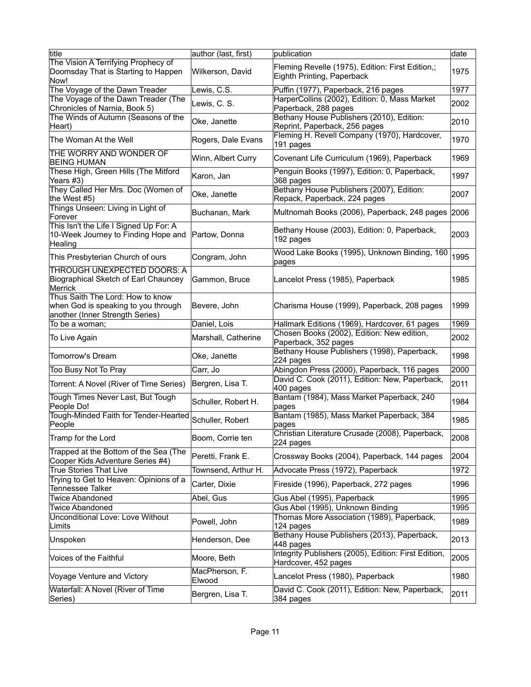| title                                                                                                      | author (last, first)     | publication                                                                    | date |
|------------------------------------------------------------------------------------------------------------|--------------------------|--------------------------------------------------------------------------------|------|
| The Vision A Terrifying Prophecy of<br>Doomsday That is Starting to Happen                                 | Wilkerson, David         | Fleming Revelle (1975), Edition: First Edition,;<br>Eighth Printing, Paperback | 1975 |
| Now!<br>The Voyage of the Dawn Treader                                                                     | Lewis, C.S.              | Puffin (1977), Paperback, 216 pages                                            | 1977 |
| The Voyage of the Dawn Treader (The<br>Chronicles of Narnia, Book 5)                                       | Lewis, C. S.             | HarperCollins (2002), Edition: 0, Mass Market<br>Paperback, 288 pages          | 2002 |
| The Winds of Autumn (Seasons of the<br>Heart)                                                              | Oke, Janette             | Bethany House Publishers (2010), Edition:<br>Reprint, Paperback, 256 pages     | 2010 |
| The Woman At the Well                                                                                      | Rogers, Dale Evans       | Fleming H. Revell Company (1970), Hardcover,<br>191 pages                      | 1970 |
| THE WORRY AND WONDER OF<br><b>BEING HUMAN</b>                                                              | Winn, Albert Curry       | Covenant Life Curriculum (1969), Paperback                                     | 1969 |
| These High, Green Hills (The Mitford<br>Years #3)                                                          | Karon, Jan               | Penguin Books (1997), Edition: 0, Paperback,<br>368 pages                      | 1997 |
| They Called Her Mrs. Doc (Women of<br>the West #5)                                                         | Oke, Janette             | Bethany House Publishers (2007), Edition:<br>Repack, Paperback, 224 pages      | 2007 |
| Things Unseen: Living in Light of<br>Forever                                                               | Buchanan, Mark           | Multnomah Books (2006), Paperback, 248 pages                                   | 2006 |
| This Isn't the Life I Signed Up For: A<br>10-Week Journey to Finding Hope and<br>Healing                   | Partow, Donna            | Bethany House (2003), Edition: 0, Paperback,<br>192 pages                      | 2003 |
| This Presbyterian Church of ours                                                                           | Congram, John            | Wood Lake Books (1995), Unknown Binding, 160<br>pages                          | 1995 |
| <b>THROUGH UNEXPECTED DOORS: A</b><br>Biographical Sketch of Earl Chauncey<br><b>Merrick</b>               | Gammon, Bruce            | Lancelot Press (1985), Paperback                                               | 1985 |
| Thus Saith The Lord: How to know<br>when God is speaking to you through<br>another (Inner Strength Series) | Bevere, John             | Charisma House (1999), Paperback, 208 pages                                    | 1999 |
| To be a woman;                                                                                             | Daniel, Lois             | Hallmark Editions (1969), Hardcover, 61 pages                                  | 1969 |
| To Live Again                                                                                              | Marshall, Catherine      | Chosen Books (2002), Edition: New edition,<br>Paperback, 352 pages             | 2002 |
| <b>Tomorrow's Dream</b>                                                                                    | Oke, Janette             | Bethany House Publishers (1998), Paperback,<br>$ 224$ pages                    | 1998 |
| Too Busy Not To Pray                                                                                       | Carr, Jo                 | Abingdon Press (2000), Paperback, 116 pages                                    | 2000 |
| Torrent: A Novel (River of Time Series)                                                                    | Bergren, Lisa T.         | David C. Cook (2011), Edition: New, Paperback,<br>$ 400$ pages                 | 2011 |
| Tough Times Never Last, But Tough<br>People Do!                                                            | Schuller, Robert H.      | Bantam (1984), Mass Market Paperback, 240<br>pages                             | 1984 |
| Tough-Minded Faith for Tender-Hearted<br>People                                                            | Schuller, Robert         | Bantam (1985), Mass Market Paperback, 384<br>pages                             | 1985 |
| Tramp for the Lord                                                                                         | Boom, Corrie ten         | Christian Literature Crusade (2008), Paperback,<br>224 pages                   | 2008 |
| Trapped at the Bottom of the Sea (The<br>Cooper Kids Adventure Series #4)                                  | Peretti, Frank E.        | Crossway Books (2004), Paperback, 144 pages                                    | 2004 |
| <b>True Stories That Live</b>                                                                              | Townsend, Arthur H.      | Advocate Press (1972), Paperback                                               | 1972 |
| Trying to Get to Heaven: Opinions of a<br><b>Tennessee Talker</b>                                          | Carter, Dixie            | Fireside (1996), Paperback, 272 pages                                          | 1996 |
| <b>Twice Abandoned</b>                                                                                     | Abel, Gus                | Gus Abel (1995), Paperback                                                     | 1995 |
| <b>Twice Abandoned</b>                                                                                     |                          | Gus Abel (1995), Unknown Binding                                               | 1995 |
| Unconditional Love: Love Without<br>Limits                                                                 | Powell, John             | Thomas More Association (1989), Paperback,<br>124 pages                        | 1989 |
| Unspoken                                                                                                   | Henderson, Dee           | Bethany House Publishers (2013), Paperback,<br>448 pages                       | 2013 |
| Voices of the Faithful                                                                                     | Moore, Beth              | Integrity Publishers (2005), Edition: First Edition,<br>Hardcover, 452 pages   | 2005 |
| Voyage Venture and Victory                                                                                 | MacPherson, F.<br>Elwood | Lancelot Press (1980), Paperback                                               | 1980 |
| Waterfall: A Novel (River of Time<br>Series)                                                               | Bergren, Lisa T.         | David C. Cook (2011), Edition: New, Paperback,<br>384 pages                    | 2011 |